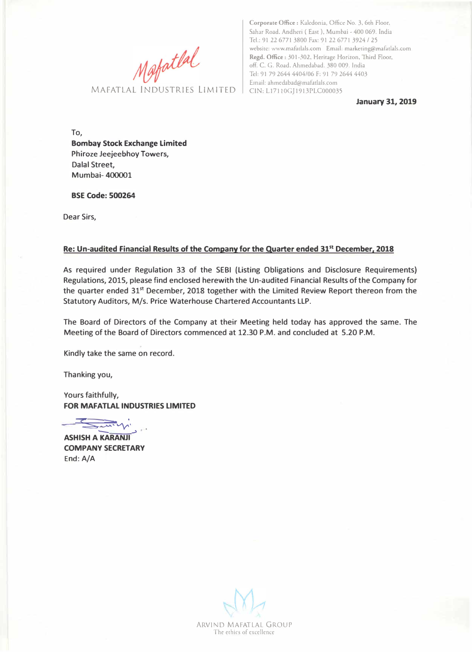**Corporate Office** : Kaledonia, Office No. 3, 6th Floor, Sahar Road. Andheri ( East), Mumbai - 400 069. India Tel.: 91 22 6771 3800 Fax: 91 22 677 I 3924 / 25 website: www.mafadals.com Email: marketing@mafadals.com **Regd. Office** : 301-302, Heritage Horizon, Third Floor, off. C. G. Road, Ahmedabad. 380 009. India Tel: 91 79 2644 4404/06 F: 91 79 2644 4403 Email: ahmedabad@mafatlals.com Matildals.com Email:<br>MAFATLAL INDUSTRIES LIMITED CIN: L17110G[1913PLC000035]

**January 31, 2019** 

**To, Bombay Stock Exchange Limited Phiroze Jeejeebhoy Towers, Dalal Street, Mumbai- 400001** 

**BSE Code: 500264** 

**Dear Sirs,** 

## **Re: Un-audited Financial Results of the Company for the Quarter ended 31st December, 2018**

**As required under Regulation 33 of the SEBI (Listing Obligations and Disclosure Requirements) Regulations,** 2015, **please find enclosed herewith the Un-audited Financial Results of the Company for the quarter ended** 31st **December,** 2018 **together with the Limited Review Report thereon from the Statutory Auditors, M/s. Price Waterhouse Chartered Accountants LLP.** 

**The Board of Directors of the Company at their Meeting held today has approved the same. The Meeting of the Board of Directors commenced at** 12.30 **P.M. and concluded at** 5.20 **P.M.** 

**Kindly take the same on record.** 

**Thanking you,** 

**Yours faithfully, FOR MAFATLAL INDUSTRIES LIMITED** 

**� � .** *:..:s:: � "'---- VV'' -->* 

**ASHISH A KARANJI COMPANY SECRETARY End:A/A** 

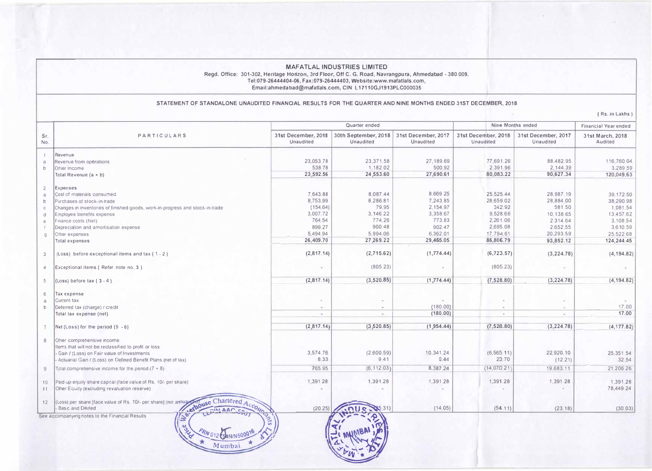#### **MAFATLAL INDUSTRIES LIMITED**  Regd. Office: 301-302, Heritage Horizon, 3rd Floor, Off C. G. Road, Navrangpura, Ahmedabad • 380 009. **Tel:079-26444404-06, Fax:079-26444403, Website:www.mafatlals.com,**  Email:a hmedabad@mafatlals.com, GIN L 17110GJ1913PLC000035

### STATEMENT OF STANDALONE UNAUDITED FINANCIAL RESULTS FOR THE QUARTER AND NINE MONTHS ENDED 31ST DECEMBER, 2018

( Rs. in Lakhs )

| PARTICULARS<br>Revenue from operations<br>Total Revenue $(a + b)$<br>Cost of materials consumed<br>Purchases of stock-in-trade<br>Changes in inventories of finished goods, work-in-progress and stock-in-trade<br>Employee benefits expense<br>Finance costs (Net)<br>Deprecialion and amortisation expense<br>Other expenses<br>Total expenses | 31st December, 2018<br>Unaudited<br>23.053.78<br>538.78<br>23,592.56<br>7,643.88<br>8,753.99<br>(154.64)<br>3,007.72<br>764.54<br>899.27<br>5.494.94                                                                                                                                                                                                                                                                                                                                                                                                                                                                                                                                                                             | 30th September, 2018<br>Unaudited<br>23,371.58<br>1,182.02<br>24,553.60<br>8,087.44<br>8,286.81<br>79.95<br>3,146.22<br>774.26 | 31st December, 2017<br>Unaudited<br>27,189.69<br>500.92<br>27,690.61<br>8,669.25<br>7,243.85<br>2.154.97<br>3,358.67 | 31st December, 2018<br>Unaudited<br>77,691.26<br>2,391.96<br>80,083.22<br>25,525.44<br>28,659.02<br>342.92 | 31st December, 2017<br>Unaudited<br>88,482.95<br>2,144.39<br>90,627.34<br>28,987.19<br>28,884.00<br>581.50 | 31st March, 2018<br>Audited<br>116,760.04<br>39,172.50<br>38,290.98 |
|--------------------------------------------------------------------------------------------------------------------------------------------------------------------------------------------------------------------------------------------------------------------------------------------------------------------------------------------------|----------------------------------------------------------------------------------------------------------------------------------------------------------------------------------------------------------------------------------------------------------------------------------------------------------------------------------------------------------------------------------------------------------------------------------------------------------------------------------------------------------------------------------------------------------------------------------------------------------------------------------------------------------------------------------------------------------------------------------|--------------------------------------------------------------------------------------------------------------------------------|----------------------------------------------------------------------------------------------------------------------|------------------------------------------------------------------------------------------------------------|------------------------------------------------------------------------------------------------------------|---------------------------------------------------------------------|
|                                                                                                                                                                                                                                                                                                                                                  |                                                                                                                                                                                                                                                                                                                                                                                                                                                                                                                                                                                                                                                                                                                                  |                                                                                                                                |                                                                                                                      |                                                                                                            |                                                                                                            | 3,289 59<br>120,049.63                                              |
|                                                                                                                                                                                                                                                                                                                                                  |                                                                                                                                                                                                                                                                                                                                                                                                                                                                                                                                                                                                                                                                                                                                  |                                                                                                                                |                                                                                                                      |                                                                                                            |                                                                                                            |                                                                     |
|                                                                                                                                                                                                                                                                                                                                                  |                                                                                                                                                                                                                                                                                                                                                                                                                                                                                                                                                                                                                                                                                                                                  |                                                                                                                                |                                                                                                                      |                                                                                                            |                                                                                                            |                                                                     |
|                                                                                                                                                                                                                                                                                                                                                  |                                                                                                                                                                                                                                                                                                                                                                                                                                                                                                                                                                                                                                                                                                                                  |                                                                                                                                |                                                                                                                      |                                                                                                            |                                                                                                            |                                                                     |
|                                                                                                                                                                                                                                                                                                                                                  |                                                                                                                                                                                                                                                                                                                                                                                                                                                                                                                                                                                                                                                                                                                                  |                                                                                                                                |                                                                                                                      |                                                                                                            |                                                                                                            |                                                                     |
|                                                                                                                                                                                                                                                                                                                                                  |                                                                                                                                                                                                                                                                                                                                                                                                                                                                                                                                                                                                                                                                                                                                  |                                                                                                                                |                                                                                                                      |                                                                                                            |                                                                                                            |                                                                     |
|                                                                                                                                                                                                                                                                                                                                                  |                                                                                                                                                                                                                                                                                                                                                                                                                                                                                                                                                                                                                                                                                                                                  |                                                                                                                                |                                                                                                                      |                                                                                                            |                                                                                                            |                                                                     |
|                                                                                                                                                                                                                                                                                                                                                  |                                                                                                                                                                                                                                                                                                                                                                                                                                                                                                                                                                                                                                                                                                                                  |                                                                                                                                |                                                                                                                      |                                                                                                            |                                                                                                            |                                                                     |
|                                                                                                                                                                                                                                                                                                                                                  |                                                                                                                                                                                                                                                                                                                                                                                                                                                                                                                                                                                                                                                                                                                                  |                                                                                                                                |                                                                                                                      |                                                                                                            |                                                                                                            | 1.081.54                                                            |
|                                                                                                                                                                                                                                                                                                                                                  |                                                                                                                                                                                                                                                                                                                                                                                                                                                                                                                                                                                                                                                                                                                                  |                                                                                                                                |                                                                                                                      | 9,528.66                                                                                                   | 10,138.65                                                                                                  | 13.457.62                                                           |
|                                                                                                                                                                                                                                                                                                                                                  |                                                                                                                                                                                                                                                                                                                                                                                                                                                                                                                                                                                                                                                                                                                                  |                                                                                                                                | 773.83                                                                                                               | 2.261.06                                                                                                   | 2,314.64                                                                                                   | 3,108.54                                                            |
|                                                                                                                                                                                                                                                                                                                                                  |                                                                                                                                                                                                                                                                                                                                                                                                                                                                                                                                                                                                                                                                                                                                  | 900.48                                                                                                                         | 902.47                                                                                                               | 2,695.08                                                                                                   | 2,652.55                                                                                                   | 3,610.59                                                            |
|                                                                                                                                                                                                                                                                                                                                                  |                                                                                                                                                                                                                                                                                                                                                                                                                                                                                                                                                                                                                                                                                                                                  | 5,994.06                                                                                                                       | 6,362.01                                                                                                             | 17,794.61                                                                                                  | 20,293.59                                                                                                  | 25.522.68                                                           |
|                                                                                                                                                                                                                                                                                                                                                  | 26,409.70                                                                                                                                                                                                                                                                                                                                                                                                                                                                                                                                                                                                                                                                                                                        | 27,269.22                                                                                                                      | 29,465.05                                                                                                            | 86,806.79                                                                                                  | 93,852.12                                                                                                  | 124,244.45                                                          |
| (Loss) before exceptional items and tax $(1 - 2)$                                                                                                                                                                                                                                                                                                | (2,817.14)                                                                                                                                                                                                                                                                                                                                                                                                                                                                                                                                                                                                                                                                                                                       | (2,715.62)                                                                                                                     | (1,774.44)                                                                                                           | (6, 723.57)                                                                                                | (3, 224.78)                                                                                                | (4, 194.82)                                                         |
|                                                                                                                                                                                                                                                                                                                                                  |                                                                                                                                                                                                                                                                                                                                                                                                                                                                                                                                                                                                                                                                                                                                  | (805.23)                                                                                                                       |                                                                                                                      | (805.23)                                                                                                   |                                                                                                            |                                                                     |
|                                                                                                                                                                                                                                                                                                                                                  |                                                                                                                                                                                                                                                                                                                                                                                                                                                                                                                                                                                                                                                                                                                                  | (3,520.85)                                                                                                                     | (1, 774.44)                                                                                                          | (7, 528.80)                                                                                                | (3, 224.78)                                                                                                | (4, 194.82)                                                         |
|                                                                                                                                                                                                                                                                                                                                                  |                                                                                                                                                                                                                                                                                                                                                                                                                                                                                                                                                                                                                                                                                                                                  |                                                                                                                                |                                                                                                                      |                                                                                                            |                                                                                                            |                                                                     |
|                                                                                                                                                                                                                                                                                                                                                  |                                                                                                                                                                                                                                                                                                                                                                                                                                                                                                                                                                                                                                                                                                                                  |                                                                                                                                |                                                                                                                      |                                                                                                            |                                                                                                            |                                                                     |
|                                                                                                                                                                                                                                                                                                                                                  |                                                                                                                                                                                                                                                                                                                                                                                                                                                                                                                                                                                                                                                                                                                                  |                                                                                                                                |                                                                                                                      | $\sim$                                                                                                     |                                                                                                            |                                                                     |
|                                                                                                                                                                                                                                                                                                                                                  |                                                                                                                                                                                                                                                                                                                                                                                                                                                                                                                                                                                                                                                                                                                                  | $\mathcal{L}^{\mathcal{L}}$                                                                                                    |                                                                                                                      | $\sim$                                                                                                     | v.                                                                                                         | 17.00                                                               |
|                                                                                                                                                                                                                                                                                                                                                  | C.                                                                                                                                                                                                                                                                                                                                                                                                                                                                                                                                                                                                                                                                                                                               | $\mathcal{L}^{\mathcal{I}}$                                                                                                    |                                                                                                                      | $\omega$                                                                                                   | C.                                                                                                         | 17.00                                                               |
|                                                                                                                                                                                                                                                                                                                                                  |                                                                                                                                                                                                                                                                                                                                                                                                                                                                                                                                                                                                                                                                                                                                  | (3,520.85)                                                                                                                     | (1, 954.44)                                                                                                          | (7,528.80)                                                                                                 | (3, 224.78)                                                                                                | (4, 177.82)                                                         |
|                                                                                                                                                                                                                                                                                                                                                  |                                                                                                                                                                                                                                                                                                                                                                                                                                                                                                                                                                                                                                                                                                                                  |                                                                                                                                |                                                                                                                      |                                                                                                            |                                                                                                            |                                                                     |
|                                                                                                                                                                                                                                                                                                                                                  |                                                                                                                                                                                                                                                                                                                                                                                                                                                                                                                                                                                                                                                                                                                                  |                                                                                                                                |                                                                                                                      |                                                                                                            |                                                                                                            |                                                                     |
|                                                                                                                                                                                                                                                                                                                                                  | 3,574.76                                                                                                                                                                                                                                                                                                                                                                                                                                                                                                                                                                                                                                                                                                                         | (2,600.59)                                                                                                                     | 10.341.24                                                                                                            | (6, 565, 11)                                                                                               | 22.920.10                                                                                                  | 25,351 54                                                           |
|                                                                                                                                                                                                                                                                                                                                                  | 8.33                                                                                                                                                                                                                                                                                                                                                                                                                                                                                                                                                                                                                                                                                                                             | 9.41                                                                                                                           | 0.44                                                                                                                 | 23.70                                                                                                      | (12.21)                                                                                                    | 32 54                                                               |
|                                                                                                                                                                                                                                                                                                                                                  | 765.95                                                                                                                                                                                                                                                                                                                                                                                                                                                                                                                                                                                                                                                                                                                           | (6, 112.03)                                                                                                                    | 8,387.24                                                                                                             | (14, 070.21)                                                                                               | 19,683.11                                                                                                  | 21,206.26                                                           |
|                                                                                                                                                                                                                                                                                                                                                  |                                                                                                                                                                                                                                                                                                                                                                                                                                                                                                                                                                                                                                                                                                                                  |                                                                                                                                |                                                                                                                      |                                                                                                            |                                                                                                            |                                                                     |
|                                                                                                                                                                                                                                                                                                                                                  |                                                                                                                                                                                                                                                                                                                                                                                                                                                                                                                                                                                                                                                                                                                                  |                                                                                                                                |                                                                                                                      |                                                                                                            |                                                                                                            | 1.391.28<br>78,449.24                                               |
|                                                                                                                                                                                                                                                                                                                                                  |                                                                                                                                                                                                                                                                                                                                                                                                                                                                                                                                                                                                                                                                                                                                  |                                                                                                                                |                                                                                                                      |                                                                                                            |                                                                                                            |                                                                     |
|                                                                                                                                                                                                                                                                                                                                                  | (20.25)                                                                                                                                                                                                                                                                                                                                                                                                                                                                                                                                                                                                                                                                                                                          | $-31$                                                                                                                          | (14.05)                                                                                                              | (54.11)                                                                                                    | (23.18)                                                                                                    | (30.03)                                                             |
|                                                                                                                                                                                                                                                                                                                                                  | Exceptional items (Refer note no. 3)<br>(Loss) before tax $(3 - 4)$<br>Deferred tax (charge) / credit<br>Total tax expense (net)<br>Net (Loss) for the period $(5 - 6)$<br>Other comprehensive income<br>Items that will not be reclassified to profit or loss<br>Gain / (Loss) on Fair value of Investments<br>Actuarial Gain / (Loss) on Defined Benefit Ptans (net of tax)<br>Total comprehensive income for the period $(7 + 8)$<br>Paid-up equity share capital (face value of Rs. 10/- per share)<br>Other Equity (excluding revaluation reserve)<br>(Loss) per share [face value of Rs. 10/- per share] (not annual<br>Basic and Diluted<br>$\sqrt{2}$<br>See accompanying notes to the Financial Results<br>ec<br>Mumbal | 1,391.28<br>Andre Chartered Accounty                                                                                           | (2, 817.14)<br>(2,817.14)<br>1,391.28                                                                                | (180.00)<br>(180.00)<br>1,391.28                                                                           | 1,391.28                                                                                                   | 1,391.28                                                            |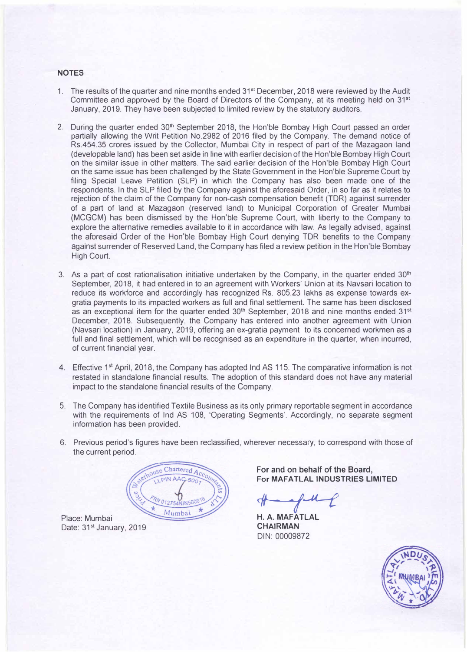## **NOTES**

- 1. The results of the quarter and nine months ended 31st December, 2018 were reviewed by the Audit Committee and approved by the Board of Directors of the Company, at its meeting held on 31<sup>s</sup> t January, 2019. They have been subjected to limited review by the statutory auditors.
- 2. During the quarter ended 30<sup>th</sup> September 2018, the Hon'ble Bombay High Court passed an order partially allowing the Writ Petition No.2982 of 2016 filed by the Company. The demand notice of Rs.454.35 crores issued by the Collector, Mumbai City in respect of part of the Mazagaon land (developable land) has been set aside in line with earlier decision of the Hon'ble Bombay High Court on the similar issue in other matters. The said earlier decision of the Hon'ble Bombay High Court on the same issue has been challenged by the State Government in the Hon'ble Supreme Court by filing Special Leave Petition (SLP) in which the Company has also been made one of the respondents. In the SLP filed by the Company against the aforesaid Order, in so far as it relates to rejection of the claim of the Company for non-cash compensation benefit (TOR) against surrender of a part of land at Mazagaon (reserved land) to Municipal Corporation of Greater Mumbai (MCGCM) has been dismissed by the Hon'ble Supreme Court, with liberty to the Company to explore the alternative remedies available to it in accordance with law. As legally advised, against the aforesaid Order of the Hon'ble Bombay High Court denying TOR benefits to the Company against surrender of Reserved Land, the Company has filed a review petition in the Hon'ble Bombay High Court.
- 3. As a part of cost rationalisation initiative undertaken by the Company, in the quarter ended  $30<sup>th</sup>$ September, 2018, it had entered in to an agreement with Workers' Union at its Navsari location to reduce its workforce and accordingly has recognized Rs. 805.23 lakhs as expense towards exgratia payments to its impacted workers as full and final settlement. The same has been disclosed as an exceptional item for the quarter ended  $30^{\text{th}}$  September, 2018 and nine months ended 31st December, 2018. Subsequently, the Company has entered into another agreement with Union (Navsari location) in January, 2019, offering an ex-gratia payment to its concerned workmen as a full and final settlement, which will be recognised as an expenditure in the quarter, when incurred, of current financial year.
- 4. Effective 1<sup>st</sup> April, 2018, the Company has adopted Ind AS 115. The comparative information is not restated in standalone financial results. The adoption of this standard does not have any material impact to the standalone financial results of the Company.
- 5. The Company has identified Textile Business as its only primary reportable segment in accordance with the requirements of Ind AS 108, 'Operating Segments'. Accordingly, no separate segment information has been provided.
- 6. Previous period's figures have been reclassified, wherever necessary, to correspond with those of the current period.

Chartered Ac Mumba

Place: Mumbai Date: 31<sup>st</sup> January, 2019 **For and on behalf of the Board, For MAFATLAL INDUSTRIES LIMITED** 

*11----1�* 

**H. A. MAFATLAL CHAIRMAN**  DIN: 00009872